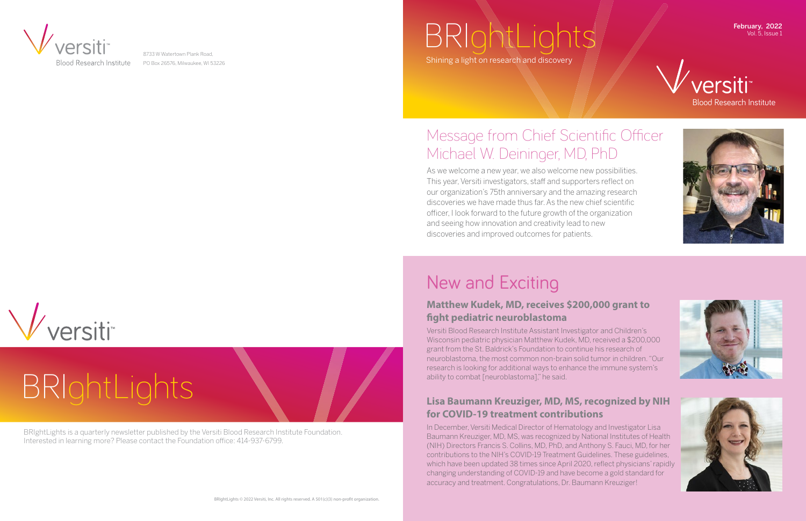BRIghtLights is a quarterly newsletter published by the Versiti Blood Research Institute Foundation. Interested in learning more? Please contact the Foundation office: 414-937-6799.

# BRIghtLights



8733 W Watertown Plank Road, PO Box 26576, Milwaukee, WI 53226

## $BRg$ Shining a light on research and dis

Vol. 5, Issue 1







As we welcome a new year, we also welcome new possibilities. This year, Versiti investigators, staff and supporters reflect on our organization's 75th anniversary and the amazing research discoveries we have made thus far. As the new chief scientific officer, I look forward to the future growth of the organization and seeing how innovation and creativity lead to new discoveries and improved outcomes for patients.

## Message from Chief Scientific Officer Michael W. Deininger, MD, PhD

#### 2021 Imagine Gala Center of Wisconsin **Lisa Baumann Kreuziger, MD, MS, recognized by NIH**  for COVID-19 treatment contributions board member and devoted Milwaukee

Improvement Versiti Medies Director of Hemate boothist, to see modiod Brootor of Homatology<br>Raymann Krouziger MD-MS-was recognized by Nati research distributed at 2015, they are recognized.<br>MIH) Directors Francis S. Collins, MD, PhD, ar .<br>Contributions to the NIH's COVID-19 Treatment which have been updated 38 times since April 2020, reflect physicians' rapidly which have been updated 56 times since Apm 2020, renect privisionaris Tapit<br>changing understanding of COVID-19 and have become a gold standard for accuracy and treatment. Congratulations, Dr. Baumann Kreuziger! In December, Versiti Medical Director of Hematology and Investigator Lisa Baumann Kreuziger, MD, MS, was recognized by National Institutes of Health (NIH) Directors Francis S. Collins, MD, PhD, and Anthony S. Fauci, MD, for her contributions to the NIH's COVID-19 Treatment Guidelines. These guidelines,





## New and Exciting

#### **Matthew Kudek, MD, receives \$200,000 grant to fight pediatric neuroblastoma**

Versiti Blood Research Institute Assistant Investigator and Children's Wisconsin pediatric physician Matthew Kudek, MD, received a \$200,000 grant from the St. Baldrick's Foundation to continue his research of neuroblastoma, the most common non-brain solid tumor in children. "Our research is looking for additional ways to enhance the immune system's ability to combat [neuroblastoma]," he said.